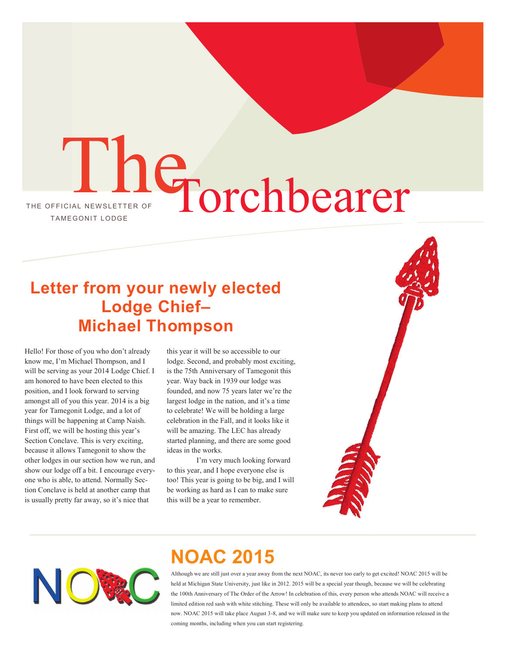# THE OFFICIAL NEWSLETTER OF The Torchbearer

### **Letter from your newly elected Lodge Chief– Michael Thompson**

Hello! For those of you who don't already know me, I'm Michael Thompson, and I will be serving as your 2014 Lodge Chief. I am honored to have been elected to this position, and I look forward to serving amongst all of you this year. 2014 is a big year for Tamegonit Lodge, and a lot of things will be happening at Camp Naish. First off, we will be hosting this year's Section Conclave. This is very exciting, because it allows Tamegonit to show the other lodges in our section how we run, and show our lodge off a bit. I encourage everyone who is able, to attend. Normally Section Conclave is held at another camp that is usually pretty far away, so it's nice that

this year it will be so accessible to our lodge. Second, and probably most exciting, is the 75th Anniversary of Tamegonit this year. Way back in 1939 our lodge was founded, and now 75 years later we're the largest lodge in the nation, and it's a time to celebrate! We will be holding a large celebration in the Fall, and it looks like it will be amazing. The LEC has already started planning, and there are some good ideas in the works.

I'm very much looking forward to this year, and I hope everyone else is too! This year is going to be big, and I will be working as hard as I can to make sure this will be a year to remember.





## **NOAC 2015**

Although we are still just over a year away from the next NOAC, its never too early to get excited! NOAC 2015 will be held at Michigan State University, just like in 2012. 2015 will be a special year though, because we will be celebrating the 100th Anniversary of The Order of the Arrow! In celebration of this, every person who attends NOAC will receive a limited edition red sash with white stitching. These will only be available to attendees, so start making plans to attend now. NOAC 2015 will take place August 3-8, and we will make sure to keep you updated on information released in the coming months, including when you can start registering.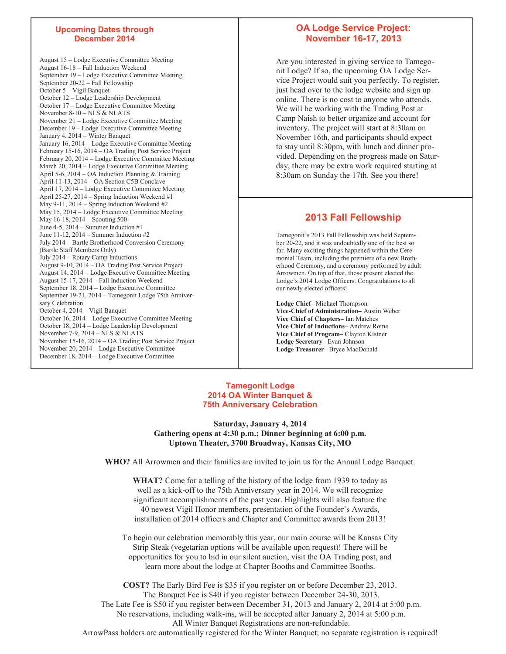#### **Upcoming Dates through December 2014**

August 15 – Lodge Executive Committee Meeting August 16-18 – Fall Induction Weekend September 19 – Lodge Executive Committee Meeting September 20-22 – Fall Fellowship October 5 – Vigil Banquet October 12 – Lodge Leadership Development October 17 – Lodge Executive Committee Meeting November 8-10 – NLS & NLATS November 21 – Lodge Executive Committee Meeting December 19 – Lodge Executive Committee Meeting January 4, 2014 – Winter Banquet January 16, 2014 – Lodge Executive Committee Meeting February 15-16, 2014 – OA Trading Post Service Project February 20, 2014 – Lodge Executive Committee Meeting March 20, 2014 – Lodge Executive Committee Meeting April 5-6, 2014 – OA Induction Planning & Training April 11-13, 2014 – OA Section C5B Conclave April 17, 2014 – Lodge Executive Committee Meeting April 25-27, 2014 – Spring Induction Weekend #1 May 9-11, 2014 – Spring Induction Weekend #2 May 15, 2014 – Lodge Executive Committee Meeting May 16-18, 2014 – Scouting 500 June  $4-5$ ,  $2014$  – Summer Induction  $#1$ June 11-12, 2014 – Summer Induction #2 July 2014 – Bartle Brotherhood Conversion Ceremony (Bartle Staff Members Only) July 2014 – Rotary Camp Inductions August 9-10, 2014 – OA Trading Post Service Project August 14, 2014 – Lodge Executive Committee Meeting August 15-17, 2014 – Fall Induction Weekend September 18, 2014 – Lodge Executive Committee September 19-21, 2014 – Tamegonit Lodge 75th Anniversary Celebration October 4, 2014 – Vigil Banquet October 16, 2014 – Lodge Executive Committee Meeting October 18, 2014 – Lodge Leadership Development November 7-9, 2014 – NLS & NLATS November 15-16, 2014 – OA Trading Post Service Project November 20, 2014 – Lodge Executive Committee December 18, 2014 – Lodge Executive Committee

#### **OA Lodge Service Project: November 16-17, 2013**

Are you interested in giving service to Tamegonit Lodge? If so, the upcoming OA Lodge Service Project would suit you perfectly. To register, just head over to the lodge website and sign up online. There is no cost to anyone who attends. We will be working with the Trading Post at Camp Naish to better organize and account for inventory. The project will start at 8:30am on November 16th, and participants should expect to stay until 8:30pm, with lunch and dinner provided. Depending on the progress made on Saturday, there may be extra work required starting at 8:30am on Sunday the 17th. See you there!

#### **2013 Fall Fellowship**

Tamegonit's 2013 Fall Fellowship was held September 20-22, and it was undoubtedly one of the best so far. Many exciting things happened within the Ceremonial Team, including the premiere of a new Brotherhood Ceremony, and a ceremony performed by adult Arrowmen. On top of that, those present elected the Lodge's 2014 Lodge Officers. Congratulations to all our newly elected officers!

**Lodge Chief–** Michael Thompson **Vice-Chief of Administration–** Austin Weber **Vice Chief of Chapters–** Ian Matches **Vice Chief of Inductions–** Andrew Rome **Vice Chief of Program–** Clayton Kistner **Lodge Secretary–** Evan Johnson **Lodge Treasurer–** Bryce MacDonald

#### **Tamegonit Lodge 2014 OA Winter Banquet & 75th Anniversary Celebration**

**Saturday, January 4, 2014 Gathering opens at 4:30 p.m.; Dinner beginning at 6:00 p.m. Uptown Theater, 3700 Broadway, Kansas City, MO** 

**WHO?** All Arrowmen and their families are invited to join us for the Annual Lodge Banquet.

**WHAT?** Come for a telling of the history of the lodge from 1939 to today as well as a kick-off to the 75th Anniversary year in 2014. We will recognize significant accomplishments of the past year. Highlights will also feature the 40 newest Vigil Honor members, presentation of the Founder's Awards, installation of 2014 officers and Chapter and Committee awards from 2013!

To begin our celebration memorably this year, our main course will be Kansas City Strip Steak (vegetarian options will be available upon request)! There will be opportunities for you to bid in our silent auction, visit the OA Trading post, and learn more about the lodge at Chapter Booths and Committee Booths.

**COST?** The Early Bird Fee is \$35 if you register on or before December 23, 2013. The Banquet Fee is \$40 if you register between December 24-30, 2013. The Late Fee is \$50 if you register between December 31, 2013 and January 2, 2014 at 5:00 p.m. No reservations, including walk-ins, will be accepted after January 2, 2014 at 5:00 p.m. All Winter Banquet Registrations are non-refundable. ArrowPass holders are automatically registered for the Winter Banquet; no separate registration is required!